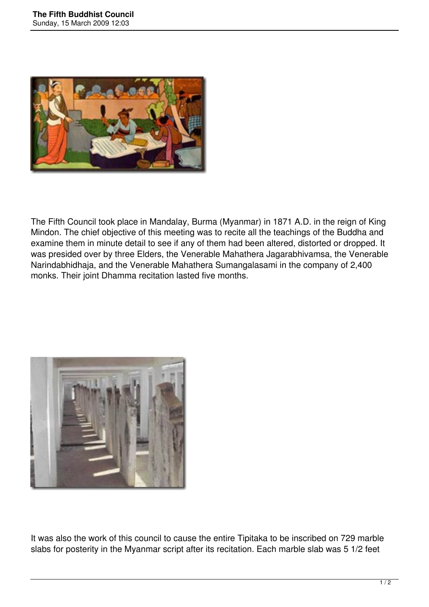

The Fifth Council took place in Mandalay, Burma (Myanmar) in 1871 A.D. in the reign of King Mindon. The chief objective of this meeting was to recite all the teachings of the Buddha and examine them in minute detail to see if any of them had been altered, distorted or dropped. It was presided over by three Elders, the Venerable Mahathera Jagarabhivamsa, the Venerable Narindabhidhaja, and the Venerable Mahathera Sumangalasami in the company of 2,400 monks. Their joint Dhamma recitation lasted five months.



It was also the work of this council to cause the entire Tipitaka to be inscribed on 729 marble slabs for posterity in the Myanmar script after its recitation. Each marble slab was 5 1/2 feet